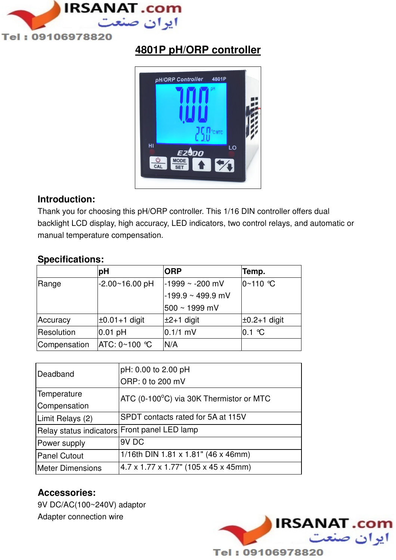

# **4801P pH/ORP controller**



### **Introduction:**

Thank you for choosing this pH/ORP controller. This 1/16 DIN controller offers dual backlight LCD display, high accuracy, LED indicators, two control relays, and automatic or manual temperature compensation.

### **Specifications:**

|              | pH                   | <b>ORP</b>             | Temp.               |
|--------------|----------------------|------------------------|---------------------|
| Range        | -2.00~16.00 pH       | $-1999 - 200$ mV       | $0 - 110$ °C        |
|              |                      | $-199.9 \sim 499.9$ mV |                     |
|              |                      | 500 ~ 1999 mV          |                     |
| Accuracy     | $\pm 0.01 + 1$ digit | $±2+1$ digit           | $\pm 0.2 + 1$ digit |
| Resolution   | $0.01$ pH            | $0.1/1$ mV             | $0.1$ °C            |
| Compensation | ATC: 0∼100 ℃         | N/A                    |                     |

| Deadband                                     | pH: 0.00 to 2.00 pH                     |  |
|----------------------------------------------|-----------------------------------------|--|
|                                              | ORP: 0 to 200 mV                        |  |
| Temperature                                  | ATC (0-100°C) via 30K Thermistor or MTC |  |
| Compensation                                 |                                         |  |
| Limit Relays (2)                             | SPDT contacts rated for 5A at 115V      |  |
| Relay status indicators Front panel LED lamp |                                         |  |
| Power supply                                 | 9V <sub>DC</sub>                        |  |
| <b>Panel Cutout</b>                          | 1/16th DIN 1.81 x 1.81" (46 x 46mm)     |  |
| <b>Meter Dimensions</b>                      | 4.7 x 1.77 x 1.77" (105 x 45 x 45mm)    |  |

### **Accessories:**

9V DC/AC(100~240V) adaptor Adapter connection wire

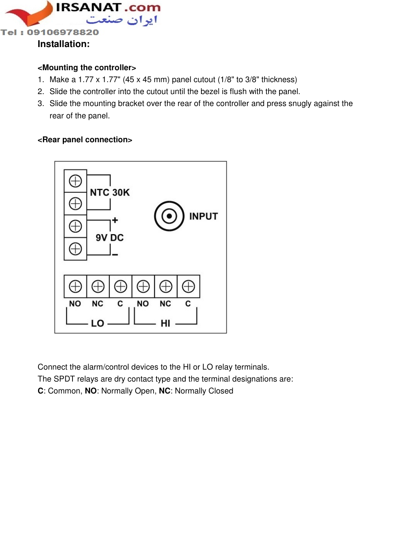

#### **<Mounting the controller>**

- 1. Make a 1.77 x 1.77" (45 x 45 mm) panel cutout (1/8" to 3/8" thickness)
- 2. Slide the controller into the cutout until the bezel is flush with the panel.
- 3. Slide the mounting bracket over the rear of the controller and press snugly against the rear of the panel.

#### **<Rear panel connection>**



Connect the alarm/control devices to the HI or LO relay terminals.

The SPDT relays are dry contact type and the terminal designations are:

**C**: Common, **NO**: Normally Open, **NC**: Normally Closed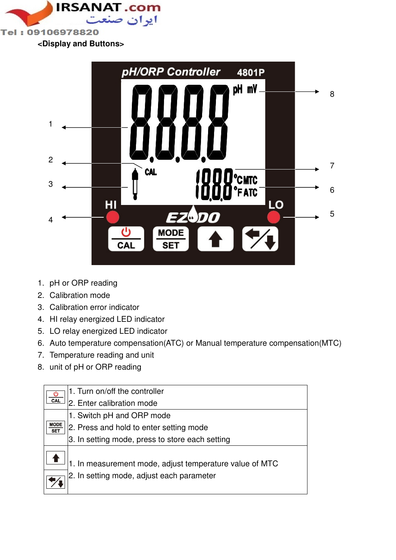

**<Display and Buttons>** 



- 1. pH or ORP reading
- 2. Calibration mode
- 3. Calibration error indicator
- 4. HI relay energized LED indicator
- 5. LO relay energized LED indicator
- 6. Auto temperature compensation(ATC) or Manual temperature compensation(MTC)
- 7. Temperature reading and unit
- 8. unit of pH or ORP reading

|                           | 1. Turn on/off the controller                                                                        |
|---------------------------|------------------------------------------------------------------------------------------------------|
| CAL                       | 2. Enter calibration mode                                                                            |
|                           | 1. Switch pH and ORP mode                                                                            |
| <b>MODE</b><br><b>SET</b> | 2. Press and hold to enter setting mode                                                              |
|                           | 3. In setting mode, press to store each setting                                                      |
|                           | 1. In measurement mode, adjust temperature value of MTC<br>2. In setting mode, adjust each parameter |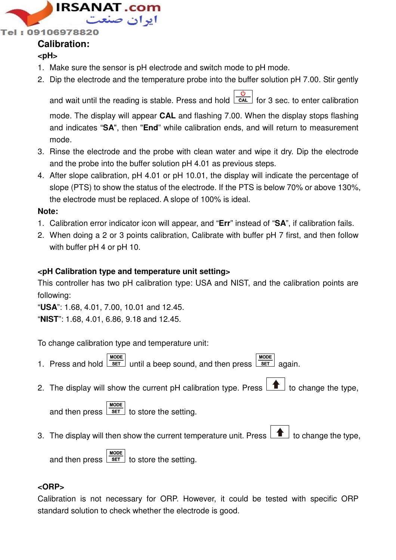

Tel: 09106978820

## **Calibration:**

### **<pH>**

- 1. Make sure the sensor is pH electrode and switch mode to pH mode.
- 2. Dip the electrode and the temperature probe into the buffer solution pH 7.00. Stir gently

and wait until the reading is stable. Press and hold  $\overline{cat}$  for 3 sec. to enter calibration

mode. The display will appear **CAL** and flashing 7.00. When the display stops flashing and indicates "**SA**", then "**End**" while calibration ends, and will return to measurement mode.

- 3. Rinse the electrode and the probe with clean water and wipe it dry. Dip the electrode and the probe into the buffer solution pH 4.01 as previous steps.
- 4. After slope calibration, pH 4.01 or pH 10.01, the display will indicate the percentage of slope (PTS) to show the status of the electrode. If the PTS is below 70% or above 130%, the electrode must be replaced. A slope of 100% is ideal.

#### **Note:**

- 1. Calibration error indicator icon will appear, and "**Err**" instead of "**SA**", if calibration fails.
- 2. When doing a 2 or 3 points calibration, Calibrate with buffer pH 7 first, and then follow with buffer pH 4 or pH 10.

### **<pH Calibration type and temperature unit setting>**

This controller has two pH calibration type: USA and NIST, and the calibration points are following:

"**USA**": 1.68, 4.01, 7.00, 10.01 and 12.45.

"**NIST**": 1.68, 4.01, 6.86, 9.18 and 12.45.

To change calibration type and temperature unit:

- **MODE MODE** 1. Press and hold  $\sqrt{\frac{\text{SET}}{\text{SET}}}$  until a beep sound, and then press  $\sqrt{\frac{\text{SET}}{\text{SET}}}$  again.
- 2. The display will show the current pH calibration type. Press  $\boxed{\bullet}$  to change the type,

**MODE** and then press  $\sqrt{s_{ET}}$  to store the setting.

3. The display will then show the current temperature unit. Press  $\boxed{\blacktriangle}$  to change the type,

**MODE** and then press  $\sqrt{\text{set}}$  to store the setting.

### **<ORP>**

Calibration is not necessary for ORP. However, it could be tested with specific ORP standard solution to check whether the electrode is good.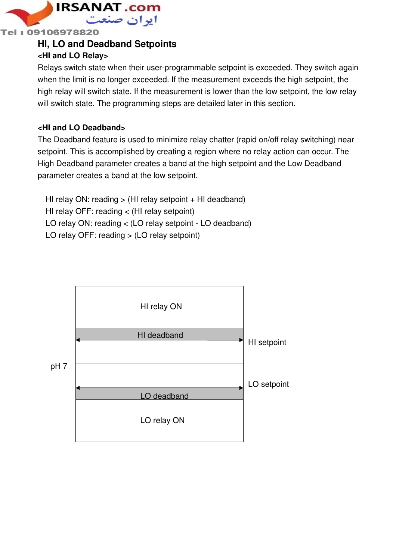

#### Tel: 09106978820

### **HI, LO and Deadband Setpoints**

### **<HI and LO Relay>**

Relays switch state when their user-programmable setpoint is exceeded. They switch again when the limit is no longer exceeded. If the measurement exceeds the high setpoint, the high relay will switch state. If the measurement is lower than the low setpoint, the low relay will switch state. The programming steps are detailed later in this section.

#### **<HI and LO Deadband>**

The Deadband feature is used to minimize relay chatter (rapid on/off relay switching) near setpoint. This is accomplished by creating a region where no relay action can occur. The High Deadband parameter creates a band at the high setpoint and the Low Deadband parameter creates a band at the low setpoint.

HI relay ON: reading  $>$  (HI relay setpoint  $+$  HI deadband) HI relay OFF: reading < (HI relay setpoint) LO relay ON: reading < (LO relay setpoint - LO deadband) LO relay OFF: reading > (LO relay setpoint)

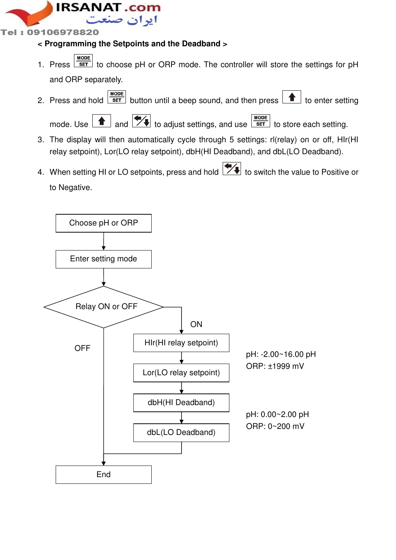

### Tel: 09106978820

### **< Programming the Setpoints and the Deadband >**

- 1. Press  $\sqrt{s_{\text{ET}}}$  to choose pH or ORP mode. The controller will store the settings for pH and ORP separately.
- 2. Press and hold  $\frac{\text{MoDE}}{\text{SET}}$  button until a beep sound, and then press  $\boxed{\blacktriangle}$  to enter setting

mode. Use  $\boxed{\triangle}$  and  $\boxed{\blacktriangledown}$  to adjust settings, and use  $\boxed{\frac{\text{MoDE}}{\text{SET}}}$  to store each setting.

- 3. The display will then automatically cycle through 5 settings: rl(relay) on or off, HIr(HI relay setpoint), Lor(LO relay setpoint), dbH(HI Deadband), and dbL(LO Deadband).
- 4. When setting HI or LO setpoints, press and hold  $\mathbb{Z}$  to switch the value to Positive or to Negative.